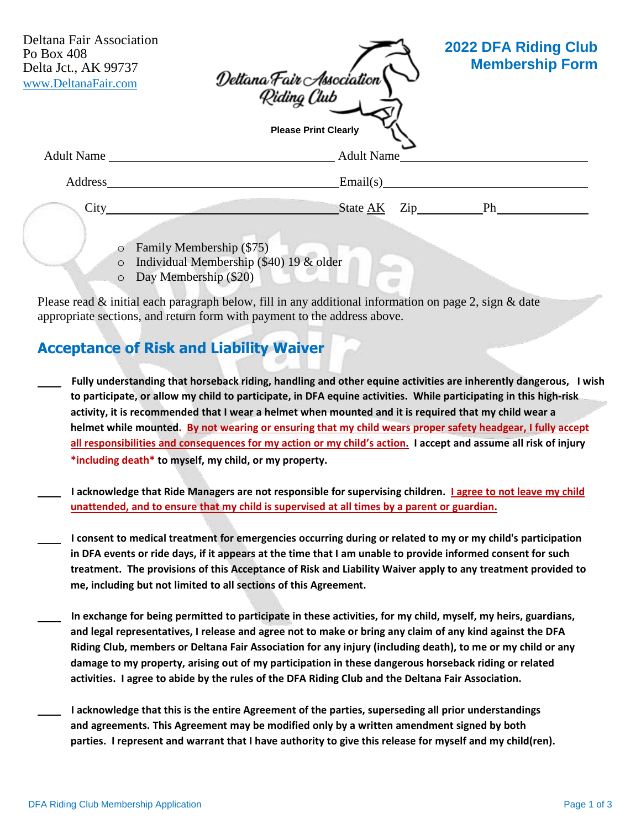| Deltana Fair Association<br>Po Box 408<br>Delta Jct., AK 99737<br>www.DeltanaFair.com | Deltana Fair Association<br>- Riding Club | <b>2022 DFA Riding Club</b><br><b>Membership Form</b> |
|---------------------------------------------------------------------------------------|-------------------------------------------|-------------------------------------------------------|
|                                                                                       | <b>Please Print Clearly</b>               |                                                       |
| <b>Adult Name</b>                                                                     | <b>Adult Name</b>                         |                                                       |
| Address                                                                               | Email(s)                                  |                                                       |
| City                                                                                  | State AK                                  | Zip Ph                                                |
| O                                                                                     | Family Membership (\$75)                  |                                                       |
| $\circ$                                                                               | Individual Membership (\$40) 19 & older   |                                                       |

o Day Membership (\$20)

Please read & initial each paragraph below, fill in any additional information on page 2, sign & date appropriate sections, and return form with payment to the address above.

#### **Acceptance of Risk and Liability Waiver**

- **Fully understanding that horseback riding, handling and other equine activities are inherently dangerous, I wish** to participate, or allow my child to participate, in DFA equine activities. While participating in this high-risk activity, it is recommended that I wear a helmet when mounted and it is required that my child wear a **helmet while mounted. By not wearing or ensuring that my child wears proper safety headgear, I fully accept** all responsibilities and consequences for my action or my child's action. I accept and assume all risk of injury **\*including death\* to myself, my child, or my property.**
- I acknowledge that Ride Managers are not responsible for supervising children. I agree to not leave my child **unattended, and to ensure that my child is supervised at all times by a parent or guardian.**
- I consent to medical treatment for emergencies occurring during or related to my or my child's participation in DFA events or ride days, if it appears at the time that I am unable to provide informed consent for such **treatment. The provisions of this Acceptance of Risk and Liability Waiver apply to any treatment provided to me, including but not limited to all sections of this Agreement.**
- In exchange for being permitted to participate in these activities, for my child, myself, my heirs, guardians, and legal representatives, I release and agree not to make or bring any claim of any kind against the DFA **Riding Club, members or Deltana Fair Association for any injury (including death), to me or my child or any damage to my property, arising out of my participation in these dangerous horseback riding or related activities. I agree to abide by the rules of the DFA Riding Club and the Deltana Fair Association.**
- **I acknowledge that this is the entire Agreement of the parties, superseding all prior understandings and agreements. This Agreement may be modified only by a written amendment signed by both parties. I represent and warrant that I have authority to give this release for myself and my child(ren).**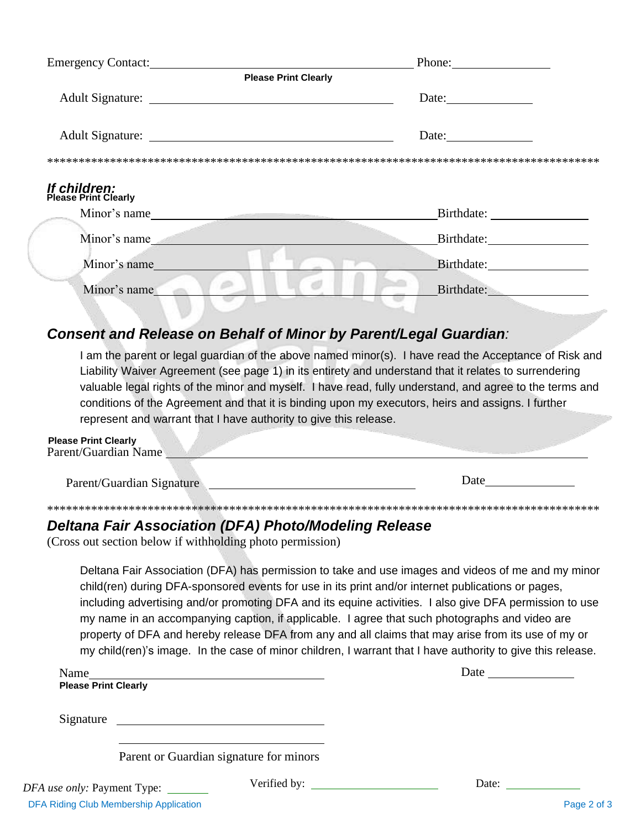| <b>Emergency Contact:</b>                   | Phone:                                                   |
|---------------------------------------------|----------------------------------------------------------|
| <b>Please Print Clearly</b>                 |                                                          |
|                                             | Date:                                                    |
|                                             | Date: $\frac{1}{\sqrt{1-\frac{1}{2}} \cdot \frac{1}{2}}$ |
|                                             |                                                          |
|                                             |                                                          |
| <b>If children:</b><br>Please Print Clearly |                                                          |
| Minor's name                                |                                                          |
| Minor's name                                |                                                          |
| Minor's name                                |                                                          |
|                                             |                                                          |
| Minor's name                                | Birthdate:                                               |

#### **Consent and Release on Behalf of Minor by Parent/Legal Guardian:**

I am the parent or legal guardian of the above named minor(s). I have read the Acceptance of Risk and Liability Waiver Agreement (see page 1) in its entirety and understand that it relates to surrendering valuable legal rights of the minor and myself. I have read, fully understand, and agree to the terms and conditions of the Agreement and that it is binding upon my executors, heirs and assigns. I further represent and warrant that I have authority to give this release.

| <b>Please Print Clearly</b><br>Parent/Guardian Name |      |
|-----------------------------------------------------|------|
| $Darent/Guardian Cimalura$                          | Date |

### **Deltana Fair Association (DFA) Photo/Modeling Release**

(Cross out section below if withholding photo permission)

Parent/Guardian Signature

Deltana Fair Association (DFA) has permission to take and use images and videos of me and my minor child(ren) during DFA-sponsored events for use in its print and/or internet publications or pages, including advertising and/or promoting DFA and its equine activities. I also give DFA permission to use my name in an accompanying caption, if applicable. I agree that such photographs and video are property of DFA and hereby release DFA from any and all claims that may arise from its use of my or my child(ren)'s image. In the case of minor children, I warrant that I have authority to give this release.

| Name<br><b>Please Print Clearly</b>     |                                                       |       |
|-----------------------------------------|-------------------------------------------------------|-------|
| Signature                               | <u> 1989 - Andrea Stadt Britain, fransk politik (</u> |       |
|                                         | Parent or Guardian signature for minors               |       |
| <i>use only:</i> Payment Type: ________ |                                                       | Date: |

**DFA**